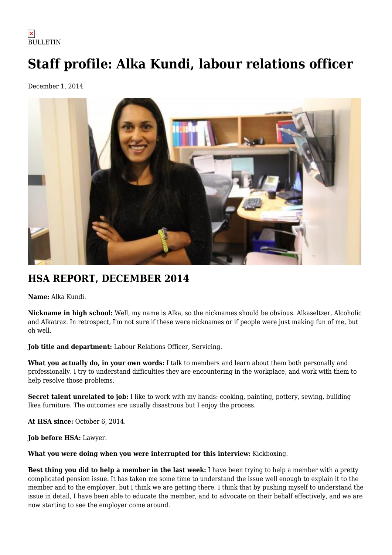## $\pmb{\times}$ **BULLETIN**

## **Staff profile: Alka Kundi, labour relations officer**

December 1, 2014



## **HSA REPORT, DECEMBER 2014**

**Name:** Alka Kundi.

**Nickname in high school:** Well, my name is Alka, so the nicknames should be obvious. Alkaseltzer, Alcoholic and Alkatraz. In retrospect, I'm not sure if these were nicknames or if people were just making fun of me, but oh well.

**Job title and department:** Labour Relations Officer, Servicing.

**What you actually do, in your own words:** I talk to members and learn about them both personally and professionally. I try to understand difficulties they are encountering in the workplace, and work with them to help resolve those problems.

**Secret talent unrelated to job:** I like to work with my hands: cooking, painting, pottery, sewing, building Ikea furniture. The outcomes are usually disastrous but I enjoy the process.

**At HSA since:** October 6, 2014.

**Job before HSA:** Lawyer.

**What you were doing when you were interrupted for this interview:** Kickboxing.

**Best thing you did to help a member in the last week:** I have been trying to help a member with a pretty complicated pension issue. It has taken me some time to understand the issue well enough to explain it to the member and to the employer, but I think we are getting there. I think that by pushing myself to understand the issue in detail, I have been able to educate the member, and to advocate on their behalf effectively, and we are now starting to see the employer come around.